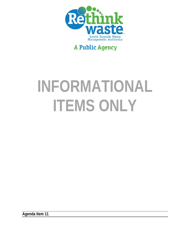

## **A Public Agency**

# **INFORMATIONAL ITEMS ONLY**

**Agenda Item 11**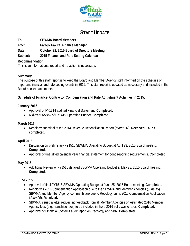

## **STAFF UPDATE**

**To: SBWMA Board Members** 

**From: Farouk Fakira, Finance Manager** 

**Date: October 22, 2015 Board of Directors Meeting** 

**Subject: 2015 Finance and Rate Setting Calendar** 

#### **Recommendation**

This is an informational report and no action is necessary.

#### **Summary**

The purpose of this staff report is to keep the Board and Member Agency staff informed on the schedule of important financial and rate setting events in 2015. This staff report is updated as necessary and included in the Board packet each month.

#### **Schedule of Finance, Contractor Compensation and Rate Adjustment Activities in 2015:**

#### **January 2015**

- Approval of FY1314 audited Financial Statement. **Completed.**
- Mid-Year review of FY1415 Operating Budget. **Completed.**

#### **March 2015**

 Recology submittal of the 2014 Revenue Reconciliation Report (*March 31*). **Received – audit completed.**

#### **April 2015**

- Discussion on preliminary FY1516 SBWMA Operating Budget at April 23, 2015 Board meeting. **Completed.**
- Approval of unaudited calendar year financial statement for bond reporting requirements. **Completed.**

#### **May 2015**

 Additional Review of FY1516 detailed SBWMA Operating Budget at May 28, 2015 Board meeting. **Completed.** 

#### **June 2015**

- Approval of final FY1516 SBWMA Operating Budget at June 25, 2015 Board meeting. **Completed.**
- Recology's 2016 Compensation Application due to the SBWMA and Member Agencies (*June 15*). SBWMA and Member Agency comments are due to Recology on its 2016 Compensation Application (*June 29*). **Received.**
- SBWMA issued a letter requesting feedback from all Member Agencies on estimated 2016 Member Agency fees (e.g., franchise fees) to be included in there 2016 solid waste rates. **Completed.**
- Approval of Financial Systems audit report on Recology and SBR. **Completed.**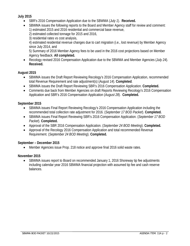#### **July 2015**

- SBR's 2016 Compensation Application due to the SBWMA (*July 1*). **Received.**
- SBWMA issues the following reports to the Board and Member Agency staff for review and comment: 1) estimated 2015 and 2016 residential and commercial base revenue,
	- 2) estimated collected tonnage for 2015 and 2016,
	- 3) residential rates vs cost analysis,

4) estimated residential revenue changes due to cart migration (i.e., lost revenue) by Member Agency since July 2014, and

5) Summary of 2016 Member Agency fees to be used in the 2016 cost projections based on Member Agency feedback. **All completed.**

 Recology revised 2016 Compensation Application due to the SBWMA and Member Agencies (*July 24*). **Received.** 

#### **August 2015**

- SBWMA issues the Draft Report Reviewing Recology's 2016 Compensation Application, recommended total Revenue Requirement and rate adjustment(s) (*August 14*). **Completed**.
- SBWMA issues the Draft Report Reviewing SBR's 2016 Compensation Application. **Completed.**
- Comments due back from Member Agencies on draft Reports Reviewing Recology's 2016 Compensation Application and SBR's 2016 Compensation Application (*August 28*). **Completed.**

#### **September 2015**

- SBWMA issues Final Report Reviewing Recology's 2016 Compensation Application including the recommended total collection rate adjustment for 2016. (*September 17 BOD Packet*). **Completed.**
- SBWMA issues Final Report Reviewing SBR's 2016 Compensation Application. (*September 17 BOD Packet*). **Completed.**
- Approval of the SBR 2016 Compensation Application. (*September 24 BOD Meeting*). **Completed.**
- Approval of the Recology 2016 Compensation Application and total recommended Revenue Requirement. (*September 24 BOD Meeting*). **Completed.**

#### **September – December 2015**

Member Agencies issue Prop. 218 notice and approve final 2016 solid waste rates.

#### **November 2015**

 SBWMA issues report to Board on recommended January 1, 2016 Shoreway tip fee adjustments including calendar year 2016 SBWMA financial projection with assumed tip fee and cash reserve balances.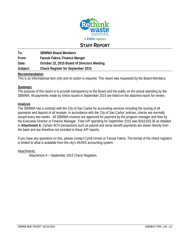

### **STAFF REPORT**

**To: SBWMA Board Members From: Farouk Fakira, Finance Manger Date: October 22, 2015 Board of Directors Meeting Subject: Check Register for September 2015** 

#### **Recommendation**

This is an informational item only and no action is required. This report was requested by the Board Members.

#### **Summary**

The purpose of this report is to provide transparency to the Board and the public on the actual spending by the SBWMA. All payments made by check issued in September 2015 are listed on the attached report for review.

#### **Analysis**

The SBWMA has a contract with the City of San Carlos for accounting services including the issuing of all payments and deposit of all receipts. In accordance with the City of San Carlos' policies, checks are normally issued every two weeks. All SBWMA invoices are approved for payment by the program manager and then by the Executive Director or Finance Manager. Total A/P spending for September 2015 was \$163,833.36 as detailed in **Attachment A**. Certain ACH transactions such as payroll and some benefit payments are drawn directly from the bank and are therefore not included in these A/P reports.

If you have any questions on this, please contact Cyndi Urman or Farouk Fakira. The format of the check registers is limited to what is available from the city's MUNIS accounting system.

#### Attachments:

Attachment A – September 2015 Check Registers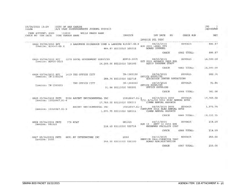| 09/04/2015 13:29<br>linda material                                           | CITY OF SAN CARLOS<br>A/P CASH DISBURSEMENTS JOURNAL S090415 |                           |                                      |                                                                                                         |              | PG<br>$\overline{1}$<br>apcshdsb |
|------------------------------------------------------------------------------|--------------------------------------------------------------|---------------------------|--------------------------------------|---------------------------------------------------------------------------------------------------------|--------------|----------------------------------|
| CASH ACCOUNT: S000 110020<br>CHECK NO CHK DATE                               | WELLS FARGO BANK<br>TYPE VENDOR NAME                         |                           | INVOICE                              | INV DATE<br>PO <b>PO</b>                                                                                | CHECK RUN    | NET                              |
|                                                                              |                                                              |                           |                                      | INVOICE DTL DESC                                                                                        |              |                                  |
| 6662 09/04/2015 EFT<br>Invoice: 815047-SB.R                                  | 3 AARONSON DICKERSON COHN & LANZONE 815047-SB.R 08/26/2015   |                           | 884.87 S0113010 520312               | AUG 2015 LEGAL SVS<br>BOARD COUNSEL                                                                     | S090415      | 884.87                           |
|                                                                              |                                                              |                           |                                      | <b>CHECK</b>                                                                                            | 6662 TOTAL:  | 884.87                           |
| 6663 09/04/2015 EFT<br>Invoice: ADV10-2015                                   | 1278 LOCAL GOVERNMENT SERVICES ADV10-2015                    | 14,500.00 S0113010 520306 |                                      | 08/25/2015<br>OCT 2015 ADVANCE PROG MGR<br>AB939 PROGRAM STAFF                                          | S090415      | 14,500.00                        |
|                                                                              |                                                              |                           |                                      | CHECK                                                                                                   | 6663 TOTAL:  | 14,500.00                        |
| 6664 09/04/2015 BFT<br>Invoice: IN-1302130                                   | 1419 THE OFFICE CITY                                         |                           | IN-1302130<br>289.74 S0113010 522718 | 08/26/2015<br>OFFICE SUPPLIES<br>EDUCATION CENTER OPERATIONS                                            | S090415      | 289.74                           |
| Invoice: IN-1300033                                                          | THE OFFICE CITY                                              |                           | 91.84 S0113010 520201                | IN-1300033 08/19/2015<br>OFFICE SUPPLIES<br>OFFICE SUPPLIES                                             | S090415<br>. | 91.84                            |
|                                                                              |                                                              |                           |                                      | <b>CHECK</b>                                                                                            | 6664 TOTAL:  | 381.58                           |
| 6665 09/04/2015 PRTD 5326 ASCENT ENVIRONMENTAL INC<br>Invoice: 15010047.01-4 |                                                              | 17,760.00 S0113010 520311 |                                      | 15010047.01-4 08/19/2015 2690 S090415<br>$7/11 - 8/14/15$ 2014 ELEC ANNUAL RPTS<br>CIWMB ANNUAL REPORTS |              | 17,760.00                        |
| Invoice: 15010047.01-3                                                       | ASCENT ENVIRONMENTAL INC                                     | 1,973.75 S0113010 520311  |                                      | 15010047.01-3 08/05/2015 2690 5090415<br>COMPLETE 2014 ELEC ANNUAL RPTS<br>CIWMB ANNUAL REPORTS         |              | 1,973.75                         |
|                                                                              |                                                              |                           |                                      | CHECK                                                                                                   | 6665 TOTAL:  | 19, 733.75                       |
| 6666 09/04/2015 PRTD<br>Invoice: 081315                                      | 776 AT&T                                                     |                           | 081315<br>218.59 S0113010 522714     | 08/13/2015<br>AUG 13 - SEPT 12 2015 SVS<br>SHOREWAY FACILITY COST                                       | S090415      | 218.59                           |
|                                                                              |                                                              |                           |                                      | <b>CHECK</b>                                                                                            | 6666 TOTAL:  | 218.59                           |
| 6667 09/04/2015 PRTD<br>Invoice: 2550                                        | 4891 AV INTEGRATORS INC                                      |                           | 2550<br>250.00 S0113010 520300       | 08/13/2015<br>SERVICE CALL-CONECTOR TEST<br>BOARD ADMINISTRATION                                        | S090415      | 250.00                           |
|                                                                              |                                                              |                           |                                      | <b>CHECK</b>                                                                                            | 6667 TOTAL:  | 250.00                           |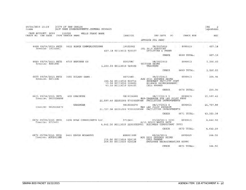| 09/04/2015 13:29<br>linda                   | CITY OF SAN CARLOS<br>A/P CASH DISBURSEMENTS JOURNAL S090415 |                                                                                                         |                                                                                                               |             | PG<br>apcshdsb |
|---------------------------------------------|--------------------------------------------------------------|---------------------------------------------------------------------------------------------------------|---------------------------------------------------------------------------------------------------------------|-------------|----------------|
| CASH ACCOUNT: S000<br>CHECK NO CHK DATE     | 110020<br>WELLS FARGO BANK<br>TYPE VENDOR NAME               | INVOICE                                                                                                 | <b>INV DATE</b><br>PO<br>INVOICE DTL DESC                                                                     | CHECK RUN   | NET            |
| 6668 09/04/2015 PRTD<br>Invoice: 19132061   | 5412 BIRCH COMMUNICATIONS                                    | 19132061<br>627.18 S0113010 520107                                                                      | 08/20/2015<br><b>JUL 2015 SERVICES</b><br>UTILITIES & PHONE                                                   | S090415     | 627.18         |
|                                             |                                                              |                                                                                                         | <b>CHECK</b>                                                                                                  | 6668 TOTAL: | 627.18         |
| 6669 09/04/2015 PRTD<br>Invoice: 82615HC    | 6733 HEATHER CO                                              | 82615HC<br>1,250.00 S0113010 520502                                                                     | 08/26/2015<br>TUITION REIMB<br>TRAINING                                                                       | S090415     | 1,250.00       |
|                                             |                                                              |                                                                                                         | <b>CHECK</b>                                                                                                  | 6669 TOTAL: | 1,250.00       |
| 6670 09/04/2015 PRTD<br>Invoice: 82715HG    | 3581 HILARY GANS                                             | 82715HG<br>155.96 S0113010 522714<br>10.00 S0113010 520801<br>40.00 S0113010 520105                     | 08/27/2015<br>AUG 2015 EXPENSE REIMB<br>SHOREWAY FACILITY COST<br>MILEAGE REIMBURSEMENT<br><b>CELL PHONES</b> | S090415     | 205.96         |
|                                             |                                                              |                                                                                                         | CHECK                                                                                                         | 6670 TOTAL: | 205.96         |
| 6671 09/04/2015 PRTD<br>Invoice: 9819326688 | <b>655 GRAINGER</b>                                          | 9819326688<br>#49-TRANSFER STN LED PILOT PROG<br>21,597.40 S2251000 570300SF068 FACILITIES IMPROVEMENTS | 08/17/2015 5                                                                                                  | S090415     | 21,597.40      |
| Invoice: 9819326670                         | GRAINGER                                                     | 9819326670<br>21,727.98 S2251000 570300SF068 FACILITIES IMPROVEMENTS                                    | 08/17/2015 6<br>MRF LED PILOT PROGRAM                                                                         | S090415     | 21,727.98      |
|                                             |                                                              |                                                                                                         | <b>CHECK</b>                                                                                                  | 6671 TOTAL: | 43, 325.38     |
| 6672 09/04/2015 PRTD<br>Invoice: 9713431    | 1496 HF&H CONSULTANTS LLC                                    | 9713431<br>4,642.50 S0113010 520309HDV01 BUSINESS CONSULTANT (HFH)                                      | 07/28/2015 3230<br>6/15 SOLID WASTE RATE                                                                      | S090415     | 4,642.50       |
|                                             |                                                              |                                                                                                         | CHECK                                                                                                         | 6672 TOTAL: | 4,642.50       |
| 6673 09/04/2015 PRTD<br>Invoice: AUG2015KM  | 3431 KEVIN MCCARTHY                                          | AUG2015KM<br>115.00 S0113010 520105<br>249.50 S0113010 520328                                           | 08/26/2015<br>AUG 2015 EXPENSE REIMB<br>CELL PHONES<br>EMPLOYEE RECRUITMENT/HR SUPPO                          | S090415     | 364.50         |
|                                             |                                                              |                                                                                                         | CHECK                                                                                                         | 6673 TOTAL: | 364.50         |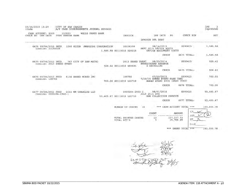| 09/04/2015 13:29<br>linda                         | CITY OF SAN CARLOS         |            | A/P CASH DISBURSEMENTS JOURNAL S090415 |                      |                                                    |                  |                                                                             |    |                  | PG<br>apcshdsb |
|---------------------------------------------------|----------------------------|------------|----------------------------------------|----------------------|----------------------------------------------------|------------------|-----------------------------------------------------------------------------|----|------------------|----------------|
| CASH ACCOUNT: S000<br>CHECK NO<br>CHK DATE        | 110020<br>TYPE VENDOR NAME |            | WELLS FARGO BANK                       |                      | INVOICE                                            |                  | INV DATE                                                                    | PO | <b>CHECK RUN</b> | NET            |
|                                                   |                            |            |                                        |                      |                                                    | INVOICE DTL DESC |                                                                             |    |                  |                |
| 6674 09/04/2015 PRTD<br>Invoice: 20158308         |                            | 1260 RICOH |                                        | AMERICAS CORPORATION | 20158308<br>1,585.58 S0113010 520215               |                  | 08/14/2015<br>SEPT 2015 OFFICE EQUIP<br>OFFICE EQUIPMENT COSTS              |    | S090415          | 1,585.58       |
|                                                   |                            |            |                                        |                      |                                                    |                  | CHECK                                                                       |    | 6674 TOTAL:      | 1,585.58       |
| 6675 09/04/2015 PRTD<br>Invoice: 2013 SHRED EVENT |                            |            | 767 CITY OF SAN MATEO                  |                      | 2013 SHRED EVENT<br>928.42 S0113010 480025         |                  | 08/29/2014<br>SHRED/SCRAP REVENUE<br>E-RECYCLING                            |    | S090415          | 928.42         |
|                                                   |                            |            |                                        |                      |                                                    |                  | CHECK                                                                       |    | 6675 TOTAL:      | 928.42         |
| 6676 09/04/2015 PRTD<br>Invoice: 108766           |                            |            | <b>6156 SHRED WORKS INC</b>            |                      | 108766<br>700.00 S0113010 522719                   |                  | 07/29/2015<br>7/29/15 SHRED EVENT-PASS THRU<br>SHRED EVENT SVCS (PASS THRU) |    | S090415          | 700.00         |
|                                                   |                            |            |                                        |                      |                                                    |                  | CHECK                                                                       |    | 6676 TOTAL:      | 700.00         |
| 6677 09/04/2015 PRTD<br>Invoice: 0000204-2960-1   |                            |            | 5533 WM CURBSIDE LLC                   |                      | $0000204 - 2960 - 1$<br>53, 405.47 S0113010 522710 | JULY 2015 SVS    | 08/01/2015<br>HHW COLLECTION SERVICE                                        |    | S090415          | 53, 405.47     |
|                                                   |                            |            |                                        |                      |                                                    |                  | CHECK                                                                       |    | 6677 TOTAL:      | 53, 405.47     |
|                                                   |                            |            |                                        |                      |                                                    |                  |                                                                             |    |                  |                |

\*\*\* CASH ACCOUNT TOTAL \*\*\* 143,003.78 NUMBER OF CHECKS 16

|             |               |        | COUNT | AMOUNT                   |                     |
|-------------|---------------|--------|-------|--------------------------|---------------------|
| TOTAL EFT'S | TOTAL PRINTED | CHECKS |       | 127, 237.33<br>15,766.45 |                     |
|             |               |        |       |                          | Emai                |
|             |               |        |       | GRAND TOTAL<br>***       | 143,003.78<br>$***$ |

 $59$  $40$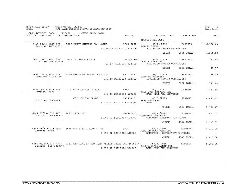| 09/18/2015 16:39<br>linda                    |  |                            | CITY OF SAN CARLOS<br>A/P CASH DISBURSEMENTS JOURNAL S091815 |  |                                       |                                                                                         |             | PG<br>apcshdsb                 |
|----------------------------------------------|--|----------------------------|--------------------------------------------------------------|--|---------------------------------------|-----------------------------------------------------------------------------------------|-------------|--------------------------------|
| CASH ACCOUNT: S000<br>CHECK NO CHK DATE      |  | 110020<br>TYPE VENDOR NAME | WELLS FARGO BANK                                             |  | INVOICE                               | INV DATE                                                                                | PO          | <b>CHECK RUN</b><br><b>NET</b> |
|                                              |  |                            |                                                              |  |                                       | INVOICE DTL DESC                                                                        |             |                                |
| 6679 09/18/2015 EFT<br>Invoice: 2601-0002    |  |                            | 5982 FIRST STUDENT-SAN MATEO                                 |  | 2601-0002<br>6,360.00 S0113010 522718 | 09/10/2015<br>SMFCSD TRIPS<br>EDUCATION CENTER OPERATIONS                               | S091815     | 6, 360.00                      |
|                                              |  |                            |                                                              |  |                                       | CHECK                                                                                   | 6679 TOTAL: | 6,360.00                       |
| 6681 09/18/2015 EFT<br>Invoice: IN-1302694   |  | 1419                       | THE OFFICE CITY                                              |  | IN-1302694                            | 08/31/2015<br>OFFICE SUPPLIES                                                           | S091815     | 41.57                          |
|                                              |  |                            |                                                              |  | 41.57 S0113010 522718                 | EDUCATION CENTER OPERATIONS                                                             |             |                                |
|                                              |  |                            |                                                              |  |                                       | <b>CHECK</b>                                                                            | 6681 TOTAL: | 41.57                          |
| 6682 09/18/2015 EFT<br>Invoice: 07102015C    |  |                            | 5446 RECOLOGY SAN MATEO COUNTY                               |  | 07102015C                             | 09/01/2015<br>COMPOST DELIVERY                                                          | S091815     | 135.40                         |
|                                              |  |                            |                                                              |  | 135.40 S0113010 522718                | EDUCATION CENTER OPERATIONS                                                             |             |                                |
|                                              |  |                            |                                                              |  |                                       | CHECK                                                                                   | 6682 TOTAL: | 135.40                         |
| 6683 09/18/2015 EFT<br>Invoice: 9889         |  |                            | 725 CITY OF SAN CARLOS                                       |  | 9889<br>338.16 S0113010 520202        | 09/03/2015<br>JULY 2015 BANKING FEE<br>BANK FEES AND SERVICES                           | S091815     | 338.16                         |
|                                              |  |                            | CITY OF SAN CARLOS                                           |  | 79950607                              | 09/01/2015                                                                              | S091815     | 4,455.61                       |
| Invoice: 79950607                            |  |                            |                                                              |  | 4,455.61 S0113010 520203              | SEPT 2015 RENT<br><b>RENT</b>                                                           |             |                                |
|                                              |  |                            |                                                              |  |                                       | CHECK                                                                                   | 6683 TOTAL: | 4,793.77                       |
| 6684 09/18/2015 EFT<br>Invoice: IN90476707   |  |                            | 3892 T324 INC                                                |  | IN90476707                            | 08/31/2015<br>COMPUTER PURCHASE                                                         | S091815     | 1,680.03                       |
|                                              |  |                            |                                                              |  | 1,680.03 50113010 522706              | COMPUTER PURCHASE FOR OFFICE                                                            |             |                                |
|                                              |  |                            |                                                              |  |                                       | CHECK                                                                                   | 6684 TOTAL: | 1,680.03                       |
| 6685 09/18/2015 PRTD<br>Invoice: 9704        |  |                            | 4558 BERLIANT & ASSOCIATES                                   |  | 9704<br>1,250.00 S0113010 512825      | 09/03/2015<br>PENSION PLAN SERVICES<br>BENEFITS - RETIREMENT EMPLOYER                   | S091815     | 1,250.00                       |
|                                              |  |                            |                                                              |  |                                       | CHECK                                                                                   | 6685 TOTAL: | 1,250.00                       |
|                                              |  |                            |                                                              |  |                                       |                                                                                         |             |                                |
| 6686 09/18/2015 PRTD<br>Invoice: 252-1890577 |  |                            |                                                              |  |                                       | 2223 THE BANK OF NEW YORK MELLON TRUST 252-1890577 09/01/2015<br>9/14-8/31/15 ADMIN FEE | S091815     | 1,650.00                       |
|                                              |  |                            |                                                              |  | 1,650.00 50113010 520202              | BANK FEES AND SERVICES                                                                  |             |                                |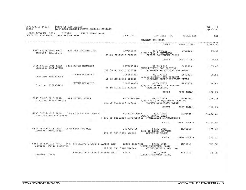| CASH ACCOUNT: S000<br>CHECK NO CHK DATE         |                     |  | 110020                | <b>WELLS FARGO BANK</b>            |                                                                        |                                                                         |              |             |            |
|-------------------------------------------------|---------------------|--|-----------------------|------------------------------------|------------------------------------------------------------------------|-------------------------------------------------------------------------|--------------|-------------|------------|
|                                                 |                     |  | TYPE VENDOR NAME      |                                    | INVOICE                                                                | INV DATE                                                                | PO           | CHECK RUN   | <b>NET</b> |
|                                                 |                     |  |                       |                                    |                                                                        | INVOICE DTL DESC                                                        |              |             |            |
|                                                 |                     |  |                       |                                    |                                                                        |                                                                         | <b>CHECK</b> | 6686 TOTAL: | 1,650.00   |
| 6687 09/18/2015 PRTD<br>Invoice: INV365576      |                     |  |                       | 7624 KBA DOCUSYS INC.              | INV365576                                                              | 08/27/2015                                                              |              | S091815     | 69.63      |
|                                                 |                     |  |                       | 69.63 S0113010 520215              | 8/25-9/24/15 SERVICES<br>OFFICE EQUIPMENT COSTS                        |                                                                         |              |             |            |
|                                                 |                     |  |                       |                                    |                                                                        |                                                                         | CHECK        | 6687 TOTAL: | 69.63      |
| 6688 09/18/2015 PRTD<br>Invoice: 3078627423     |                     |  |                       | 3431 KEVIN MCCARTHY                | 3078627423                                                             | 08/31/2015                                                              |              | S091815     | 105.00     |
|                                                 |                     |  |                       |                                    | 105.00 S0113010 520328                                                 | REIM-LINKDIN JOB POSTING<br>EMPLOYEE RECRUITMENT/HR SUPPO               |              |             |            |
| Invoice: 3082907063                             |                     |  |                       | KEVIN MCCARTHY                     | 3082907063                                                             | 09/01/2015<br>9/1/15 LINKDIN JOB POSTING                                |              | S091815     | 66.50      |
|                                                 |                     |  |                       |                                    | 66.50 80113010 520328                                                  | EMPLOYEE RECRUITMENT/HR SUPPO                                           |              |             |            |
|                                                 | Invoice: 3108936493 |  | KEVIN MCCARTHY        | 3108936493                         | 09/08/2015<br>9/8/15 LINKEDIN JOB POSTING                              |                                                                         | S091815      | 28.50       |            |
|                                                 |                     |  | 28.50 S0113010 520338 | WEBSITE SUPPORT                    |                                                                        |                                                                         |              |             |            |
|                                                 |                     |  |                       |                                    |                                                                        |                                                                         | CHECK        | 6688 TOTAL: | 200.00     |
| 6689 09/18/2015 PRTD<br>Invoice: 8474059-AU15   |                     |  |                       | <b>449 PITNEY BOWES</b>            | 8474059-AU15<br>128.29 S0113010 520215                                 | 09/03/2015<br>9/20-12/20/15 EQUIPMENT LEASING<br>OFFICE EQUIPMENT COSTS |              | S091815     | 128.29     |
|                                                 |                     |  |                       |                                    |                                                                        |                                                                         | CHECK        | 6689 TOTAL: | 128.29     |
| 6690 09/18/2015 PRTD<br>Invoice: BLD2014-00883  |                     |  |                       | 725 CITY OF SAN CARLOS             | BLD2014-00883<br>4,132.35 S2251000 570300SF061 FACILITIES IMPROVEMENTS | 12/02/2014<br>CANOPY PERMIT FEES                                        |              | S091815     | 4,132.35   |
|                                                 |                     |  |                       |                                    |                                                                        |                                                                         | <b>CHECK</b> | 6690 TOTAL: | 4, 132.35  |
| 6691 09/18/2015 PRTD                            |                     |  |                       | 4519 SHRED-IT USA                  | 9407290456                                                             | 08/31/2015                                                              |              | S091815     | 174.73     |
| Invoice: 9407290456                             |                     |  |                       |                                    | 174.73 S0113010 520201                                                 | 8/31/15 SHRED SERVICE<br>OFFICE SUPPLIES                                |              |             |            |
|                                                 |                     |  |                       |                                    |                                                                        |                                                                         | CHECK        | 6691 TOTAL: | 174.73     |
| 6692 09/18/2015 PRTD<br>Invoice: T2423-11857721 |                     |  |                       | 5443 SPECIALTY'S CAFE & BAKERY INC | T2423-11857721                                                         | 09/09/2015<br>LUNCH-INTERVIEW PANEL                                     |              | S091815     | 128.86     |
|                                                 |                     |  |                       | SPECIALTY'S CAFE & BAKERY INC      | 128.86 S0113010 520503                                                 | CONFERENCES & MEETINGS                                                  |              |             |            |
|                                                 | Invoice: T2423      |  |                       |                                    | T2423                                                                  | 09/10/2015<br>LUNCH-INTERVIEW PANEL                                     |              | S091815     | 84.95      |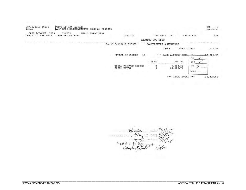| 09/18/2015 16:39<br>linda                  | CITY OF SAN CARLOS         | A/P CASH DISBURSEMENTS JOURNAL S091815 |                       |                      |                              |                            |              | PG<br>apcshdsb |
|--------------------------------------------|----------------------------|----------------------------------------|-----------------------|----------------------|------------------------------|----------------------------|--------------|----------------|
| CASH ACCOUNT: S000<br>CHK DATE<br>CHECK NO | 110020<br>TYPE VENDOR NAME | WELLS FARGO BANK                       |                       | INVOICE              | INV DATE<br>INVOICE DTL DESC | PO                         | CHECK RUN    | NET            |
|                                            |                            |                                        | 84.95 S0113010 520503 |                      | CONFERENCES & MEETINGS       |                            |              |                |
|                                            |                            |                                        |                       |                      | CHECK                        |                            | 6692 TOTAL:  | 213.81         |
|                                            |                            |                                        | NUMBER OF CHECKS      | 13                   |                              | *** CASH ACCOUNT TOTAL *** | ОP           | 20,829.58      |
|                                            |                            |                                        |                       |                      | COUNT                        | AMOUNT                     | ARP          |                |
|                                            |                            |                                        | TOTAL EFT'S           | TOTAL PRINTED CHECKS |                              | 7,818.81<br>13,010.77      | EFT<br>Errig |                |

\*\*\* GRAND TOTAL \*\*\* 20,829.58

DAT  $11.12$  $4e+5915100011$ 18/15